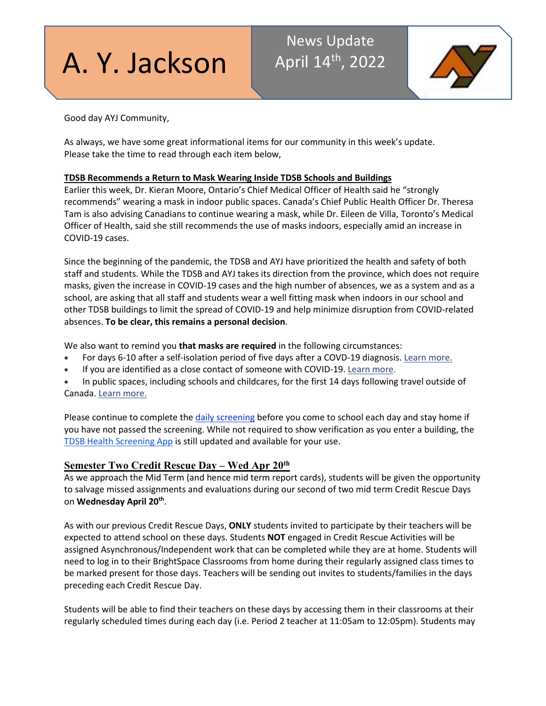# A. Y. Jackson

# News Update April 14<sup>th</sup>, 2022



Good day AYJ Community,

As always, we have some great informational items for our community in this week's update. Please take the time to read through each item below,

# **TDSB Recommends a Return to Mask Wearing Inside TDSB Schools and Buildings**

Earlier this week, Dr. Kieran Moore, Ontario's Chief Medical Officer of Health said he "strongly recommends" wearing a mask in indoor public spaces. Canada's Chief Public Health Officer Dr. Theresa Tam is also advising Canadians to continue wearing a mask, while Dr. Eileen de Villa, Toronto's Medical Officer of Health, said she still recommends the use of masks indoors, especially amid an increase in COVID-19 cases.

Since the beginning of the pandemic, the TDSB and AYJ have prioritized the health and safety of both staff and students. While the TDSB and AYJ takes its direction from the province, which does not require masks, given the increase in COVID-19 cases and the high number of absences, we as a system and as a school, are asking that all staff and students wear a well fitting mask when indoors in our school and other TDSB buildings to limit the spread of COVID-19 and help minimize disruption from COVID-related absences. **To be clear, this remains a personal decision**.

We also want to remind you **that masks are required** in the following circumstances:

- For days 6-10 after a self-isolation period of five days after a COVD-19 diagnosis. [Learn more.](https://www.toronto.ca/wp-content/uploads/2021/06/994c-Screening-Questionnaire-Child-Care-Day-Camp-School.pdf)
- If you are identified as a close contact of someone with COVID-19. [Learn more.](https://www.toronto.ca/wp-content/uploads/2021/06/994c-Screening-Questionnaire-Child-Care-Day-Camp-School.pdf)
- In public spaces, including schools and childcares, for the first 14 days following travel outside of Canada[. Learn more.](https://travel.gc.ca/travel-covid/travel-restrictions/exemptions)

Please continue to complete the [daily screening](https://www.toronto.ca/wp-content/uploads/2021/06/994c-Screening-Questionnaire-Child-Care-Day-Camp-School.pdf) before you come to school each day and stay home if you have not passed the screening. While not required to show verification as you enter a building, the [TDSB Health Screening App](https://tdsb.service-now.com/auth_redirect.do?sysparm_stack=no&sysparm_url=https%3A%2F%2Flogin.microsoftonline.com%2Fc4d72b4d-8155-4a90-9155-7705148c41ca%2Fsaml2%3FSAMLRequest%3DlVLBjtowEP2VyPckdkgCsQgSBVVF2m6jhe6hN2NPWEuJnXoctv37BkO120ORVvLB8rx5780bL1H0XTbw9ehfzBP8HAF99KvvDPJrpSajM9wK1MiN6AG5l3y%252F%252FvrAs4TywVlvpe1ItEYE57U1G2tw7MHtwZ21hO9PDzV58X5AnqZe4THBayE29jWRtk%252BNOA%252FiBImyJNpO8tqIC89bV2dP2iS9ls6ibb01nTYQWmWu5tkxV%252FGCFUWci4rG1eU2n9OC5QuZMynSMAeJPlsnIYxZk1Z0CCTabWuyf9xUWU7VrGxnGSvFsaBZW7KCLURZthWtWjUBsRGI%252BgxvrYgj7Ax6YXxNMpplMc1jOj%252BwBZ8OpUlVzH6QqLkF9Ekbpc3pfprHKwj5l8OhiZtv%252B0MgOGsF7nFCfyDIZ3AYQpx4yWoZMuDBtHu%252F3vt%252BxN%252BdktU94WX6nv4mNvCL4922sZ2Wv6N119nXjQPhpym8GyEspBf%252B%252Fw5YwsKLVnEboHw0OIDUrQZF0tVN9t%252B%252Fu%252FoD%26RelayState%3Dhttps%253A%252F%252Ftdsb.service-now.com%252Ftswp) is still updated and available for your use.

# **Semester Two Credit Rescue Day – Wed Apr 20th**

As we approach the Mid Term (and hence mid term report cards), students will be given the opportunity to salvage missed assignments and evaluations during our second of two mid term Credit Rescue Days on **Wednesday April 20th**.

As with our previous Credit Rescue Days, **ONLY** students invited to participate by their teachers will be expected to attend school on these days. Students **NOT** engaged in Credit Rescue Activities will be assigned Asynchronous/Independent work that can be completed while they are at home. Students will need to log in to their BrightSpace Classrooms from home during their regularly assigned class times to be marked present for those days. Teachers will be sending out invites to students/families in the days preceding each Credit Rescue Day.

Students will be able to find their teachers on these days by accessing them in their classrooms at their regularly scheduled times during each day (i.e. Period 2 teacher at 11:05am to 12:05pm). Students may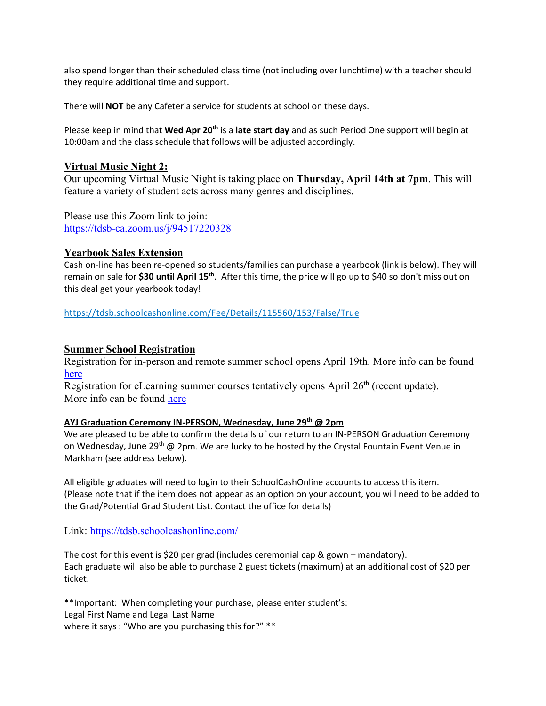also spend longer than their scheduled class time (not including over lunchtime) with a teacher should they require additional time and support.

There will **NOT** be any Cafeteria service for students at school on these days.

Please keep in mind that **Wed Apr 20th** is a **late start day** and as such Period One support will begin at 10:00am and the class schedule that follows will be adjusted accordingly.

# **Virtual Music Night 2:**

Our upcoming Virtual Music Night is taking place on **Thursday, April 14th at 7pm**. This will feature a variety of student acts across many genres and disciplines.

Please use this Zoom link to join: <https://tdsb-ca.zoom.us/j/94517220328>

# **Yearbook Sales Extension**

Cash on-line has been re-opened so students/families can purchase a yearbook (link is below). They will remain on sale for **\$30 until April 15th**. After this time, the price will go up to \$40 so don't miss out on this deal get your yearbook today!

<https://tdsb.schoolcashonline.com/Fee/Details/115560/153/False/True>

# **Summer School Registration**

Registration for in-person and remote summer school opens April 19th. More info can be found [here](https://www.tdsb.on.ca/High-School/Going-to-High-School/Night-School-and-Summer-School/Summer-School)

Registration for eLearning summer courses tentatively opens April  $26<sup>th</sup>$  (recent update). More info can be found [here](https://schoolweb.tdsb.on.ca/elearning/e-Summer-Online-Program)

# **AYJ Graduation Ceremony IN-PERSON, Wednesday, June 29th @ 2pm**

We are pleased to be able to confirm the details of our return to an IN-PERSON Graduation Ceremony on Wednesday, June 29<sup>th</sup> @ 2pm. We are lucky to be hosted by the Crystal Fountain Event Venue in Markham (see address below).

All eligible graduates will need to login to their SchoolCashOnline accounts to access this item. (Please note that if the item does not appear as an option on your account, you will need to be added to the Grad/Potential Grad Student List. Contact the office for details)

Link:<https://tdsb.schoolcashonline.com/>

The cost for this event is \$20 per grad (includes ceremonial cap & gown – mandatory). Each graduate will also be able to purchase 2 guest tickets (maximum) at an additional cost of \$20 per ticket.

\*\*Important: When completing your purchase, please enter student's: Legal First Name and Legal Last Name where it says : "Who are you purchasing this for?" \*\*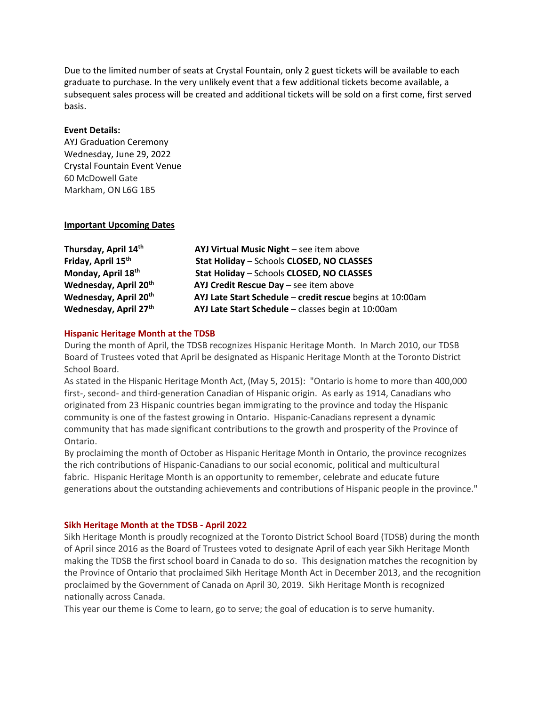Due to the limited number of seats at Crystal Fountain, only 2 guest tickets will be available to each graduate to purchase. In the very unlikely event that a few additional tickets become available, a subsequent sales process will be created and additional tickets will be sold on a first come, first served basis.

#### **Event Details:**

AYJ Graduation Ceremony Wednesday, June 29, 2022 Crystal Fountain Event Venue 60 McDowell Gate Markham, ON L6G 1B5

#### **Important Upcoming Dates**

| Thursday, April 14th              | AYJ Virtual Music Night - see item above                  |
|-----------------------------------|-----------------------------------------------------------|
| Friday, April 15 <sup>th</sup>    | Stat Holiday - Schools CLOSED, NO CLASSES                 |
| Monday, April 18th                | Stat Holiday - Schools CLOSED, NO CLASSES                 |
| Wednesday, April 20 <sup>th</sup> | AYJ Credit Rescue Day - see item above                    |
| Wednesday, April 20 <sup>th</sup> | AYJ Late Start Schedule - credit rescue begins at 10:00am |
| Wednesday, April 27th             | AYJ Late Start Schedule - classes begin at 10:00am        |

#### **Hispanic Heritage Month at the TDSB**

During the month of April, the TDSB recognizes Hispanic Heritage Month. In March 2010, our TDSB Board of Trustees voted that April be designated as Hispanic Heritage Month at the Toronto District School Board.

As stated in the Hispanic Heritage Month Act, (May 5, 2015): "Ontario is home to more than 400,000 first-, second- and third-generation Canadian of Hispanic origin. As early as 1914, Canadians who originated from 23 Hispanic countries began immigrating to the province and today the Hispanic community is one of the fastest growing in Ontario. Hispanic-Canadians represent a dynamic community that has made significant contributions to the growth and prosperity of the Province of Ontario.

By proclaiming the month of October as Hispanic Heritage Month in Ontario, the province recognizes the rich contributions of Hispanic-Canadians to our social economic, political and multicultural fabric. Hispanic Heritage Month is an opportunity to remember, celebrate and educate future generations about the outstanding achievements and contributions of Hispanic people in the province."

#### **Sikh Heritage Month at the TDSB - April 2022**

Sikh Heritage Month is proudly recognized at the Toronto District School Board (TDSB) during the month of April since 2016 as the Board of Trustees voted to designate April of each year Sikh Heritage Month making the TDSB the first school board in Canada to do so. This designation matches the recognition by the Province of Ontario that proclaimed Sikh Heritage Month Act in December 2013, and the recognition proclaimed by the Government of Canada on April 30, 2019. Sikh Heritage Month is recognized nationally across Canada.

This year our theme is Come to learn, go to serve; the goal of education is to serve humanity.